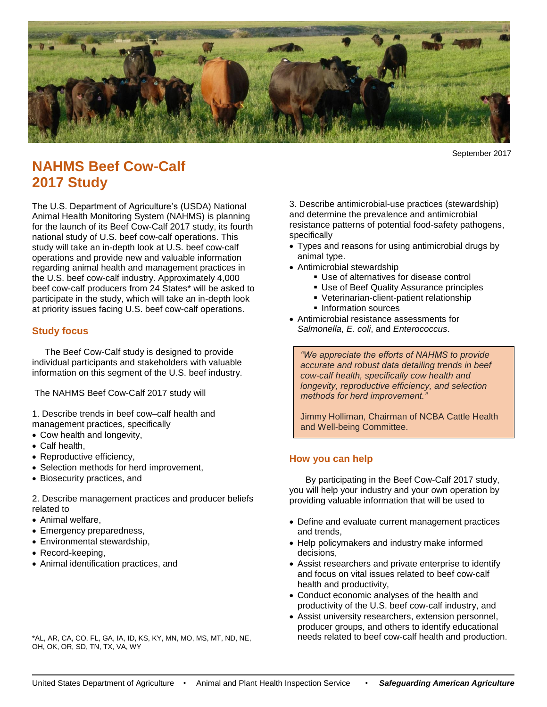

September 2017

# **NAHMS Beef Cow-Calf 2017 Study**

The U.S. Department of Agriculture's (USDA) National Animal Health Monitoring System (NAHMS) is planning for the launch of its Beef Cow-Calf 2017 study, its fourth national study of U.S. beef cow-calf operations. This study will take an in-depth look at U.S. beef cow-calf operations and provide new and valuable information regarding animal health and management practices in the U.S. beef cow-calf industry. Approximately 4,000 beef cow-calf producers from 24 States\* will be asked to participate in the study, which will take an in-depth look at priority issues facing U.S. beef cow-calf operations.

## **Study focus**

The Beef Cow-Calf study is designed to provide individual participants and stakeholders with valuable information on this segment of the U.S. beef industry.

The NAHMS Beef Cow-Calf 2017 study will

1. Describe trends in beef cow–calf health and management practices, specifically

- Cow health and longevity,
- Calf health,
- Reproductive efficiency,
- Selection methods for herd improvement,
- Biosecurity practices, and

2. Describe management practices and producer beliefs related to

- Animal welfare,
- Emergency preparedness,
- Environmental stewardship,
- Record-keeping,
- Animal identification practices, and

\*AL, AR, CA, CO, FL, GA, IA, ID, KS, KY, MN, MO, MS, MT, ND, NE, OH, OK, OR, SD, TN, TX, VA, WY

3. Describe antimicrobial-use practices (stewardship) and determine the prevalence and antimicrobial resistance patterns of potential food-safety pathogens, specifically

- Types and reasons for using antimicrobial drugs by animal type.
- Antimicrobial stewardship
	- Use of alternatives for disease control
	- Use of Beef Quality Assurance principles
	- Veterinarian-client-patient relationship
	- **Information sources**
- Antimicrobial resistance assessments for *Salmonella*, *E. coli*, and *Enterococcus*.

*"We appreciate the efforts of NAHMS to provide accurate and robust data detailing trends in beef cow-calf health, specifically cow health and longevity, reproductive efficiency, and selection methods for herd improvement."* 

Jimmy Holliman, Chairman of NCBA Cattle Health and Well-being Committee.

## **How you can help**

By participating in the Beef Cow-Calf 2017 study, you will help your industry and your own operation by providing valuable information that will be used to

- Define and evaluate current management practices and trends,
- Help policymakers and industry make informed decisions,
- Assist researchers and private enterprise to identify and focus on vital issues related to beef cow-calf health and productivity,
- Conduct economic analyses of the health and productivity of the U.S. beef cow-calf industry, and
- Assist university researchers, extension personnel, producer groups, and others to identify educational needs related to beef cow-calf health and production.